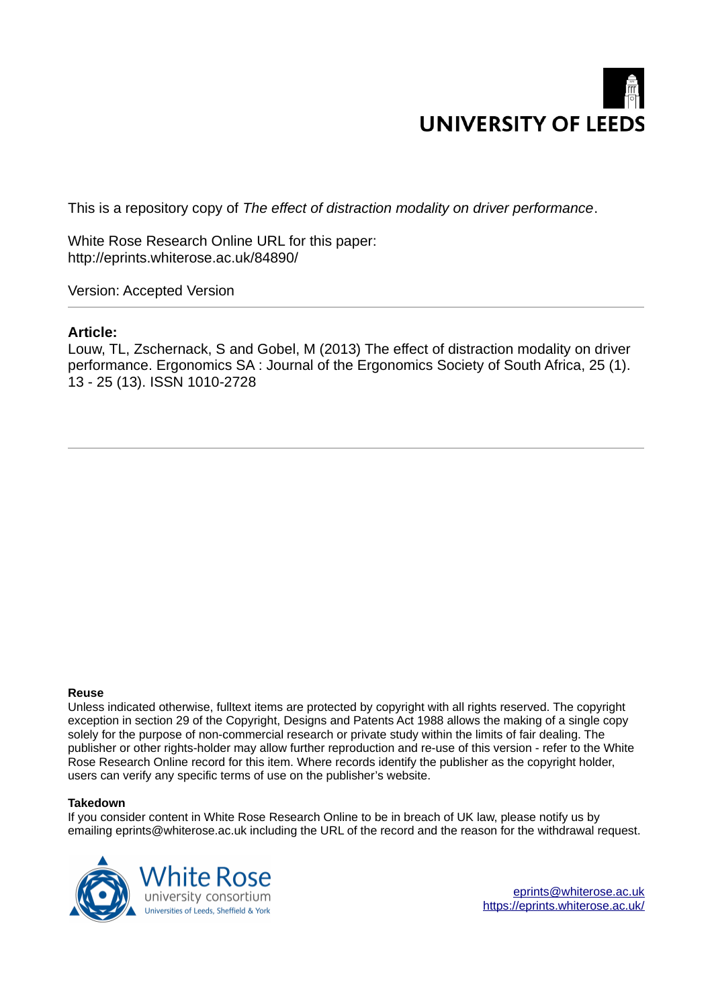

This is a repository copy of *The effect of distraction modality on driver performance*.

White Rose Research Online URL for this paper: http://eprints.whiterose.ac.uk/84890/

Version: Accepted Version

#### **Article:**

Louw, TL, Zschernack, S and Gobel, M (2013) The effect of distraction modality on driver performance. Ergonomics SA : Journal of the Ergonomics Society of South Africa, 25 (1). 13 - 25 (13). ISSN 1010-2728

#### **Reuse**

Unless indicated otherwise, fulltext items are protected by copyright with all rights reserved. The copyright exception in section 29 of the Copyright, Designs and Patents Act 1988 allows the making of a single copy solely for the purpose of non-commercial research or private study within the limits of fair dealing. The publisher or other rights-holder may allow further reproduction and re-use of this version - refer to the White Rose Research Online record for this item. Where records identify the publisher as the copyright holder, users can verify any specific terms of use on the publisher's website.

#### **Takedown**

If you consider content in White Rose Research Online to be in breach of UK law, please notify us by emailing eprints@whiterose.ac.uk including the URL of the record and the reason for the withdrawal request.



[eprints@whiterose.ac.uk](mailto:eprints@whiterose.ac.uk) <https://eprints.whiterose.ac.uk/>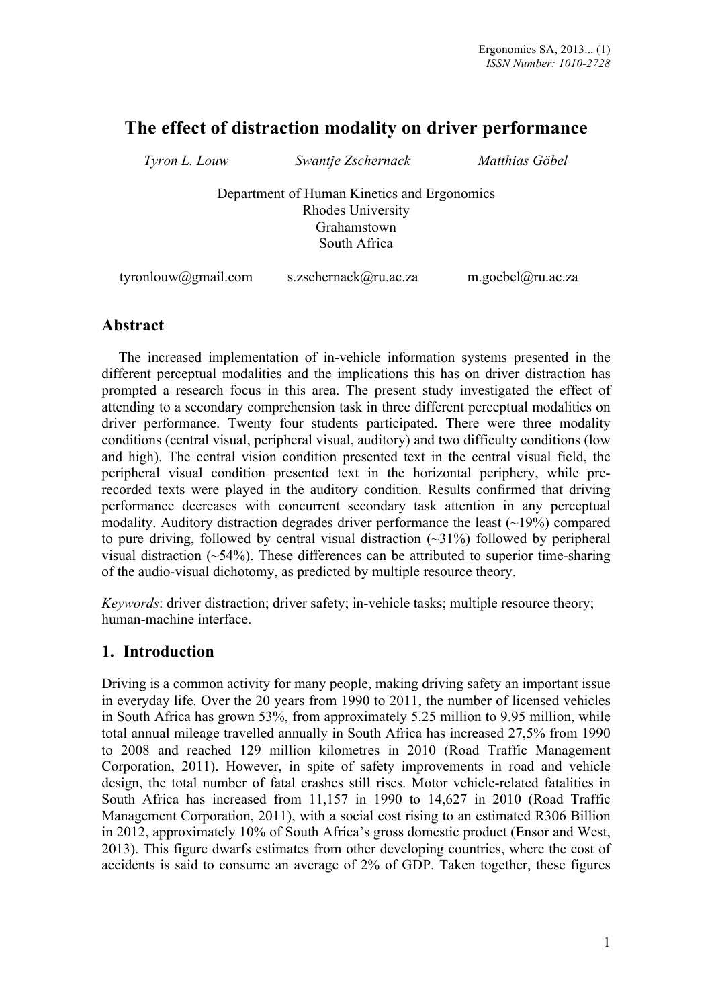# **The effect of distraction modality on driver performance**

| Tyron L. Louw       | Swantje Zschernack                          | Matthias Göbel    |  |  |  |
|---------------------|---------------------------------------------|-------------------|--|--|--|
|                     | Department of Human Kinetics and Ergonomics |                   |  |  |  |
| Rhodes University   |                                             |                   |  |  |  |
| Grahamstown         |                                             |                   |  |  |  |
|                     | South Africa                                |                   |  |  |  |
|                     |                                             |                   |  |  |  |
| tyronlouw@gmail.com | s.zschernack@ru.ac.za                       | m.goebel@ru.ac.za |  |  |  |

### **Abstract**

The increased implementation of in-vehicle information systems presented in the different perceptual modalities and the implications this has on driver distraction has prompted a research focus in this area. The present study investigated the effect of attending to a secondary comprehension task in three different perceptual modalities on driver performance. Twenty four students participated. There were three modality conditions (central visual, peripheral visual, auditory) and two difficulty conditions (low and high). The central vision condition presented text in the central visual field, the peripheral visual condition presented text in the horizontal periphery, while prerecorded texts were played in the auditory condition. Results confirmed that driving performance decreases with concurrent secondary task attention in any perceptual modality. Auditory distraction degrades driver performance the least  $(\sim 19\%)$  compared to pure driving, followed by central visual distraction  $(\sim 31\%)$  followed by peripheral visual distraction (~54%). These differences can be attributed to superior time-sharing of the audio-visual dichotomy, as predicted by multiple resource theory.

*Keywords*: driver distraction; driver safety; in-vehicle tasks; multiple resource theory; human-machine interface.

### **1. Introduction**

Driving is a common activity for many people, making driving safety an important issue in everyday life. Over the 20 years from 1990 to 2011, the number of licensed vehicles in South Africa has grown 53%, from approximately 5.25 million to 9.95 million, while total annual mileage travelled annually in South Africa has increased 27,5% from 1990 to 2008 and reached 129 million kilometres in 2010 (Road Traffic Management Corporation, 2011). However, in spite of safety improvements in road and vehicle design, the total number of fatal crashes still rises. Motor vehicle-related fatalities in South Africa has increased from 11,157 in 1990 to 14,627 in 2010 (Road Traffic Management Corporation, 2011), with a social cost rising to an estimated R306 Billion in 2012, approximately 10% of South Africa's gross domestic product (Ensor and West, 2013). This figure dwarfs estimates from other developing countries, where the cost of accidents is said to consume an average of 2% of GDP. Taken together, these figures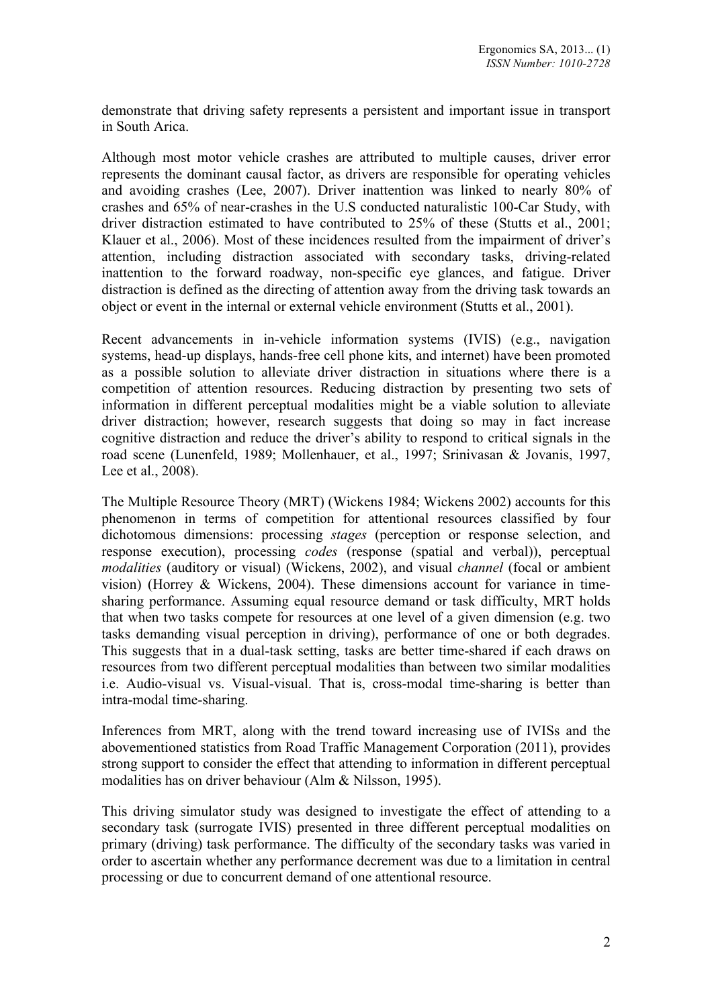demonstrate that driving safety represents a persistent and important issue in transport in South Arica.

Although most motor vehicle crashes are attributed to multiple causes, driver error represents the dominant causal factor, as drivers are responsible for operating vehicles and avoiding crashes (Lee, 2007). Driver inattention was linked to nearly 80% of crashes and 65% of near-crashes in the U.S conducted naturalistic 100-Car Study, with driver distraction estimated to have contributed to 25% of these (Stutts et al., 2001; Klauer et al., 2006). Most of these incidences resulted from the impairment of driver's attention, including distraction associated with secondary tasks, driving-related inattention to the forward roadway, non-specific eye glances, and fatigue. Driver distraction is defined as the directing of attention away from the driving task towards an object or event in the internal or external vehicle environment (Stutts et al., 2001).

Recent advancements in in-vehicle information systems (IVIS) (e.g., navigation systems, head-up displays, hands-free cell phone kits, and internet) have been promoted as a possible solution to alleviate driver distraction in situations where there is a competition of attention resources. Reducing distraction by presenting two sets of information in different perceptual modalities might be a viable solution to alleviate driver distraction; however, research suggests that doing so may in fact increase cognitive distraction and reduce the driver's ability to respond to critical signals in the road scene (Lunenfeld, 1989; Mollenhauer, et al., 1997; Srinivasan & Jovanis, 1997, Lee et al., 2008).

The Multiple Resource Theory (MRT) (Wickens 1984; Wickens 2002) accounts for this phenomenon in terms of competition for attentional resources classified by four dichotomous dimensions: processing *stages* (perception or response selection, and response execution), processing *codes* (response (spatial and verbal)), perceptual *modalities* (auditory or visual) (Wickens, 2002), and visual *channel* (focal or ambient vision) (Horrey & Wickens, 2004). These dimensions account for variance in timesharing performance. Assuming equal resource demand or task difficulty, MRT holds that when two tasks compete for resources at one level of a given dimension (e.g. two tasks demanding visual perception in driving), performance of one or both degrades. This suggests that in a dual-task setting, tasks are better time-shared if each draws on resources from two different perceptual modalities than between two similar modalities i.e. Audio-visual vs. Visual-visual. That is, cross-modal time-sharing is better than intra-modal time-sharing.

Inferences from MRT, along with the trend toward increasing use of IVISs and the abovementioned statistics from Road Traffic Management Corporation (2011), provides strong support to consider the effect that attending to information in different perceptual modalities has on driver behaviour (Alm & Nilsson, 1995).

This driving simulator study was designed to investigate the effect of attending to a secondary task (surrogate IVIS) presented in three different perceptual modalities on primary (driving) task performance. The difficulty of the secondary tasks was varied in order to ascertain whether any performance decrement was due to a limitation in central processing or due to concurrent demand of one attentional resource.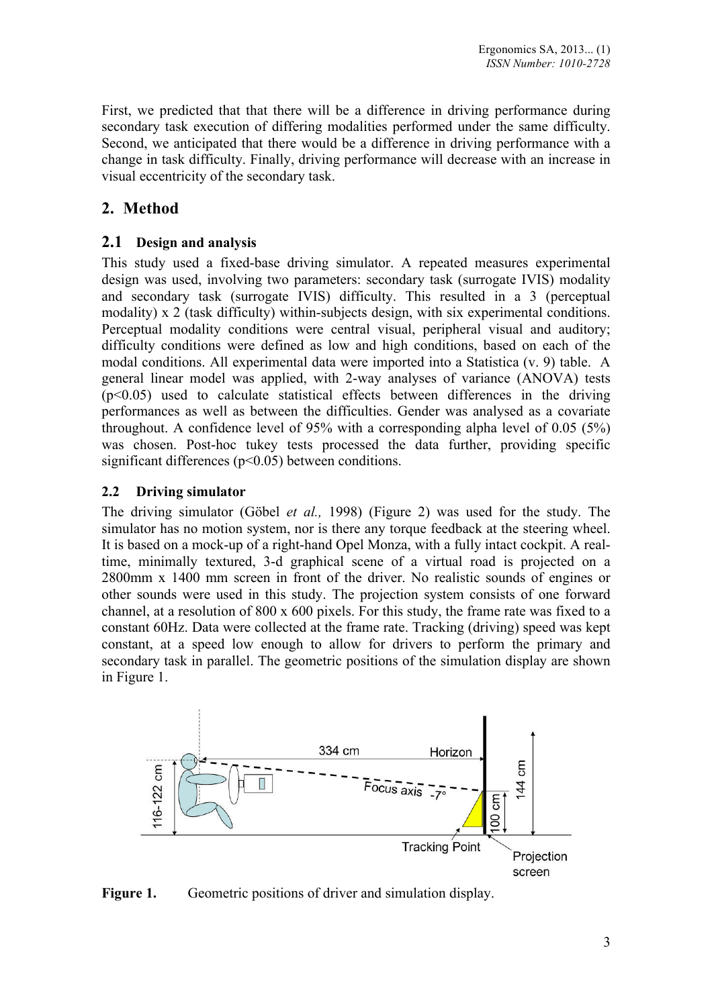First, we predicted that that there will be a difference in driving performance during secondary task execution of differing modalities performed under the same difficulty. Second, we anticipated that there would be a difference in driving performance with a change in task difficulty. Finally, driving performance will decrease with an increase in visual eccentricity of the secondary task.

## **2. Method**

#### **2.1 Design and analysis**

This study used a fixed-base driving simulator. A repeated measures experimental design was used, involving two parameters: secondary task (surrogate IVIS) modality and secondary task (surrogate IVIS) difficulty. This resulted in a 3 (perceptual modality) x 2 (task difficulty) within-subjects design, with six experimental conditions. Perceptual modality conditions were central visual, peripheral visual and auditory; difficulty conditions were defined as low and high conditions, based on each of the modal conditions. All experimental data were imported into a Statistica (v. 9) table. A general linear model was applied, with 2-way analyses of variance (ANOVA) tests  $(p<0.05)$  used to calculate statistical effects between differences in the driving performances as well as between the difficulties. Gender was analysed as a covariate throughout. A confidence level of 95% with a corresponding alpha level of 0.05 (5%) was chosen. Post-hoc tukey tests processed the data further, providing specific significant differences  $(p<0.05)$  between conditions.

#### **2.2 Driving simulator**

The driving simulator (Göbel *et al.,* 1998) (Figure 2) was used for the study. The simulator has no motion system, nor is there any torque feedback at the steering wheel. It is based on a mock-up of a right-hand Opel Monza, with a fully intact cockpit. A realtime, minimally textured, 3-d graphical scene of a virtual road is projected on a 2800mm x 1400 mm screen in front of the driver. No realistic sounds of engines or other sounds were used in this study. The projection system consists of one forward channel, at a resolution of 800 x 600 pixels. For this study, the frame rate was fixed to a constant 60Hz. Data were collected at the frame rate. Tracking (driving) speed was kept constant, at a speed low enough to allow for drivers to perform the primary and secondary task in parallel. The geometric positions of the simulation display are shown in Figure 1.



**Figure 1.** Geometric positions of driver and simulation display.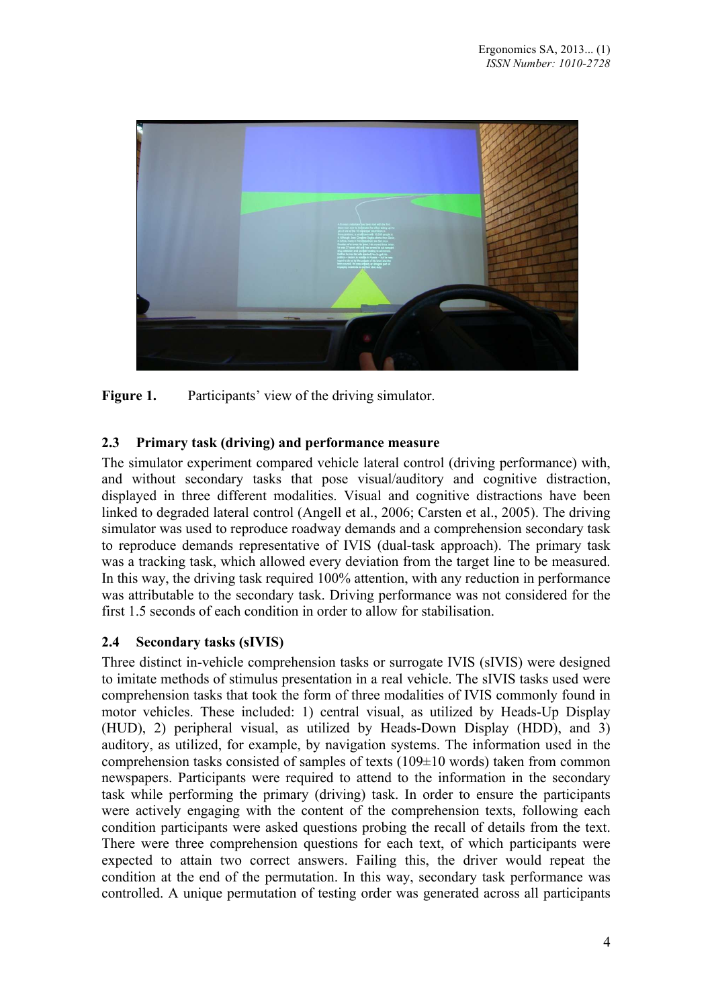

Figure 1. Participants' view of the driving simulator.

### **2.3 Primary task (driving) and performance measure**

The simulator experiment compared vehicle lateral control (driving performance) with, and without secondary tasks that pose visual/auditory and cognitive distraction, displayed in three different modalities. Visual and cognitive distractions have been linked to degraded lateral control (Angell et al., 2006; Carsten et al., 2005). The driving simulator was used to reproduce roadway demands and a comprehension secondary task to reproduce demands representative of IVIS (dual-task approach). The primary task was a tracking task, which allowed every deviation from the target line to be measured. In this way, the driving task required 100% attention, with any reduction in performance was attributable to the secondary task. Driving performance was not considered for the first 1.5 seconds of each condition in order to allow for stabilisation.

#### **2.4 Secondary tasks (sIVIS)**

Three distinct in-vehicle comprehension tasks or surrogate IVIS (sIVIS) were designed to imitate methods of stimulus presentation in a real vehicle. The sIVIS tasks used were comprehension tasks that took the form of three modalities of IVIS commonly found in motor vehicles. These included: 1) central visual, as utilized by Heads-Up Display (HUD), 2) peripheral visual, as utilized by Heads-Down Display (HDD), and 3) auditory, as utilized, for example, by navigation systems. The information used in the comprehension tasks consisted of samples of texts (109±10 words) taken from common newspapers. Participants were required to attend to the information in the secondary task while performing the primary (driving) task. In order to ensure the participants were actively engaging with the content of the comprehension texts, following each condition participants were asked questions probing the recall of details from the text. There were three comprehension questions for each text, of which participants were expected to attain two correct answers. Failing this, the driver would repeat the condition at the end of the permutation. In this way, secondary task performance was controlled. A unique permutation of testing order was generated across all participants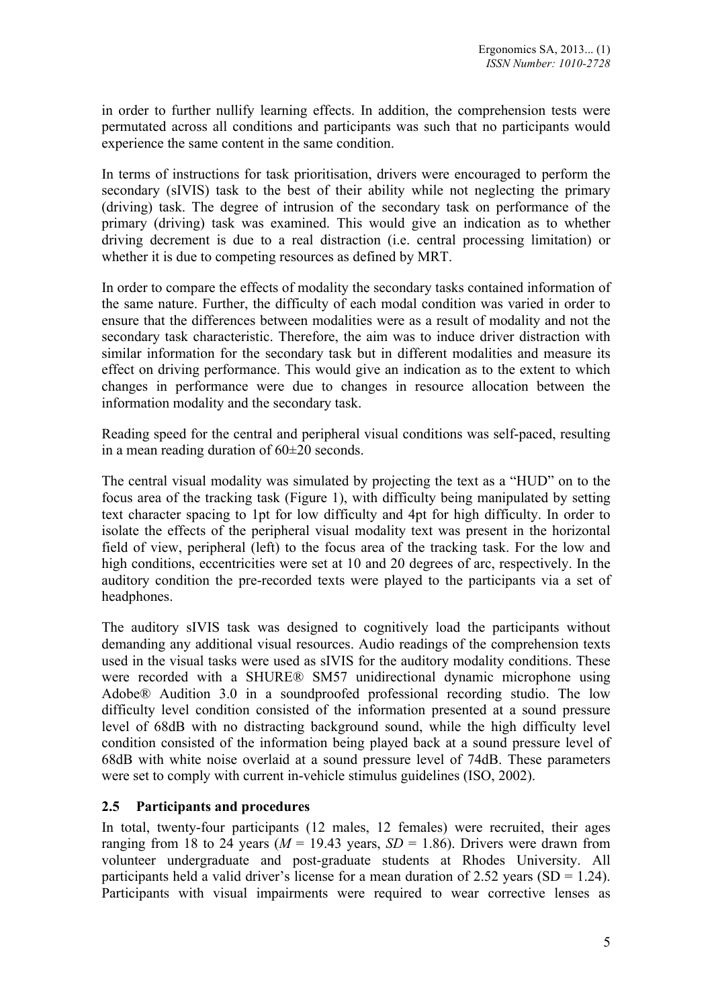in order to further nullify learning effects. In addition, the comprehension tests were permutated across all conditions and participants was such that no participants would experience the same content in the same condition.

In terms of instructions for task prioritisation, drivers were encouraged to perform the secondary (sIVIS) task to the best of their ability while not neglecting the primary (driving) task. The degree of intrusion of the secondary task on performance of the primary (driving) task was examined. This would give an indication as to whether driving decrement is due to a real distraction (i.e. central processing limitation) or whether it is due to competing resources as defined by MRT.

In order to compare the effects of modality the secondary tasks contained information of the same nature. Further, the difficulty of each modal condition was varied in order to ensure that the differences between modalities were as a result of modality and not the secondary task characteristic. Therefore, the aim was to induce driver distraction with similar information for the secondary task but in different modalities and measure its effect on driving performance. This would give an indication as to the extent to which changes in performance were due to changes in resource allocation between the information modality and the secondary task.

Reading speed for the central and peripheral visual conditions was self-paced, resulting in a mean reading duration of 60±20 seconds.

The central visual modality was simulated by projecting the text as a "HUD" on to the focus area of the tracking task (Figure 1), with difficulty being manipulated by setting text character spacing to 1pt for low difficulty and 4pt for high difficulty. In order to isolate the effects of the peripheral visual modality text was present in the horizontal field of view, peripheral (left) to the focus area of the tracking task. For the low and high conditions, eccentricities were set at 10 and 20 degrees of arc, respectively. In the auditory condition the pre-recorded texts were played to the participants via a set of headphones.

The auditory sIVIS task was designed to cognitively load the participants without demanding any additional visual resources. Audio readings of the comprehension texts used in the visual tasks were used as sIVIS for the auditory modality conditions. These were recorded with a SHURE® SM57 unidirectional dynamic microphone using Adobe® Audition 3.0 in a soundproofed professional recording studio. The low difficulty level condition consisted of the information presented at a sound pressure level of 68dB with no distracting background sound, while the high difficulty level condition consisted of the information being played back at a sound pressure level of 68dB with white noise overlaid at a sound pressure level of 74dB. These parameters were set to comply with current in-vehicle stimulus guidelines (ISO, 2002).

#### **2.5 Participants and procedures**

In total, twenty-four participants (12 males, 12 females) were recruited, their ages ranging from 18 to 24 years ( $M = 19.43$  years,  $SD = 1.86$ ). Drivers were drawn from volunteer undergraduate and post-graduate students at Rhodes University. All participants held a valid driver's license for a mean duration of  $2.52$  years (SD = 1.24). Participants with visual impairments were required to wear corrective lenses as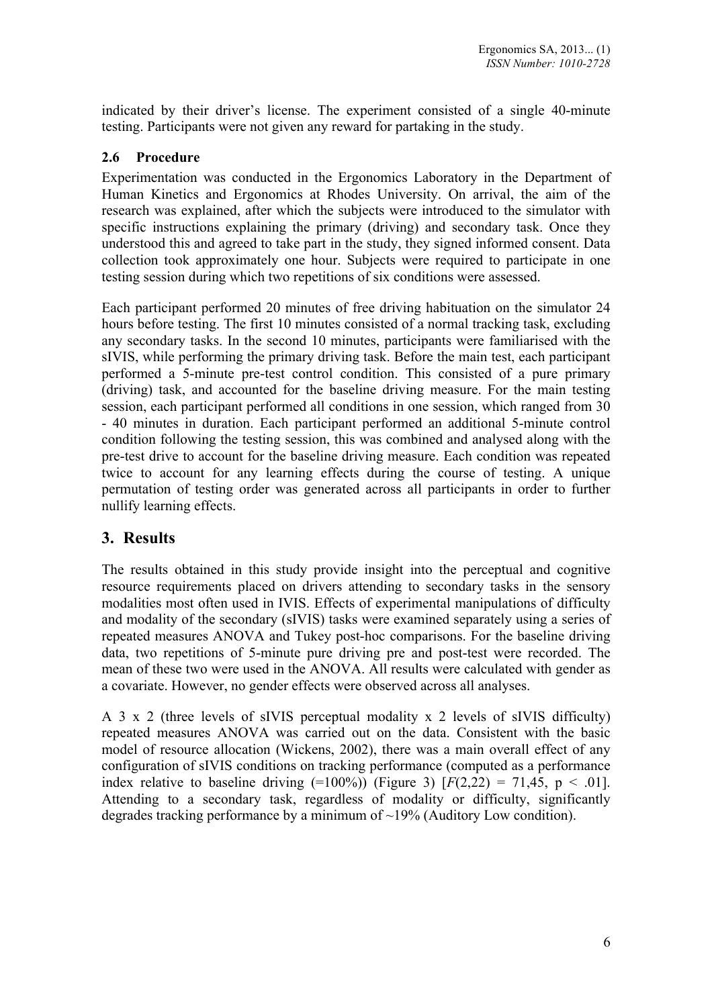indicated by their driver's license. The experiment consisted of a single 40-minute testing. Participants were not given any reward for partaking in the study.

#### **2.6 Procedure**

Experimentation was conducted in the Ergonomics Laboratory in the Department of Human Kinetics and Ergonomics at Rhodes University. On arrival, the aim of the research was explained, after which the subjects were introduced to the simulator with specific instructions explaining the primary (driving) and secondary task. Once they understood this and agreed to take part in the study, they signed informed consent. Data collection took approximately one hour. Subjects were required to participate in one testing session during which two repetitions of six conditions were assessed.

Each participant performed 20 minutes of free driving habituation on the simulator 24 hours before testing. The first 10 minutes consisted of a normal tracking task, excluding any secondary tasks. In the second 10 minutes, participants were familiarised with the sIVIS, while performing the primary driving task. Before the main test, each participant performed a 5-minute pre-test control condition. This consisted of a pure primary (driving) task, and accounted for the baseline driving measure. For the main testing session, each participant performed all conditions in one session, which ranged from 30 - 40 minutes in duration. Each participant performed an additional 5-minute control condition following the testing session, this was combined and analysed along with the pre-test drive to account for the baseline driving measure. Each condition was repeated twice to account for any learning effects during the course of testing. A unique permutation of testing order was generated across all participants in order to further nullify learning effects.

### **3. Results**

The results obtained in this study provide insight into the perceptual and cognitive resource requirements placed on drivers attending to secondary tasks in the sensory modalities most often used in IVIS. Effects of experimental manipulations of difficulty and modality of the secondary (sIVIS) tasks were examined separately using a series of repeated measures ANOVA and Tukey post-hoc comparisons. For the baseline driving data, two repetitions of 5-minute pure driving pre and post-test were recorded. The mean of these two were used in the ANOVA. All results were calculated with gender as a covariate. However, no gender effects were observed across all analyses.

A 3 x 2 (three levels of sIVIS perceptual modality x 2 levels of sIVIS difficulty) repeated measures ANOVA was carried out on the data. Consistent with the basic model of resource allocation (Wickens, 2002), there was a main overall effect of any configuration of sIVIS conditions on tracking performance (computed as a performance index relative to baseline driving  $(=100\%)$  (Figure 3)  $[F(2,22) = 71,45, p < .01]$ . Attending to a secondary task, regardless of modality or difficulty, significantly degrades tracking performance by a minimum of ~19% (Auditory Low condition).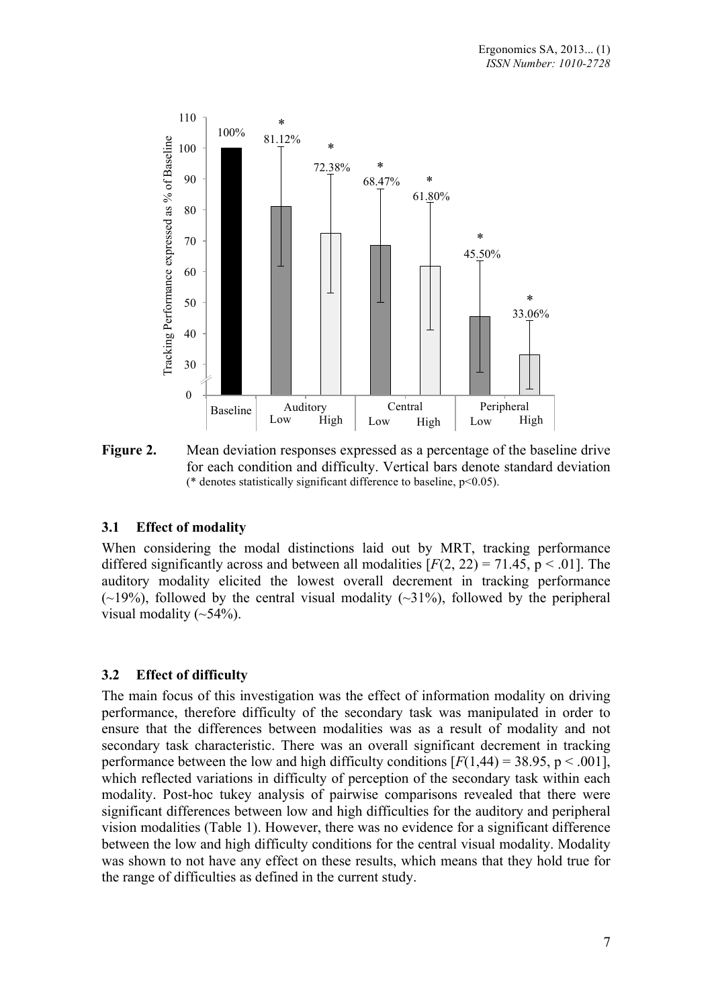

**Figure 2.** Mean deviation responses expressed as a percentage of the baseline drive for each condition and difficulty. Vertical bars denote standard deviation (\* denotes statistically significant difference to baseline,  $p<0.05$ ).

#### **3.1 Effect of modality**

When considering the modal distinctions laid out by MRT, tracking performance differed significantly across and between all modalities  $[F(2, 22) = 71.45, p < .01]$ . The auditory modality elicited the lowest overall decrement in tracking performance  $(\sim 19\%)$ , followed by the central visual modality  $(\sim 31\%)$ , followed by the peripheral visual modality  $(\sim 54\%)$ .

#### **3.2 Effect of difficulty**

The main focus of this investigation was the effect of information modality on driving performance, therefore difficulty of the secondary task was manipulated in order to ensure that the differences between modalities was as a result of modality and not secondary task characteristic. There was an overall significant decrement in tracking performance between the low and high difficulty conditions  $[F(1,44) = 38.95, p \le 0.001]$ , which reflected variations in difficulty of perception of the secondary task within each modality. Post-hoc tukey analysis of pairwise comparisons revealed that there were significant differences between low and high difficulties for the auditory and peripheral vision modalities (Table 1). However, there was no evidence for a significant difference between the low and high difficulty conditions for the central visual modality. Modality was shown to not have any effect on these results, which means that they hold true for the range of difficulties as defined in the current study.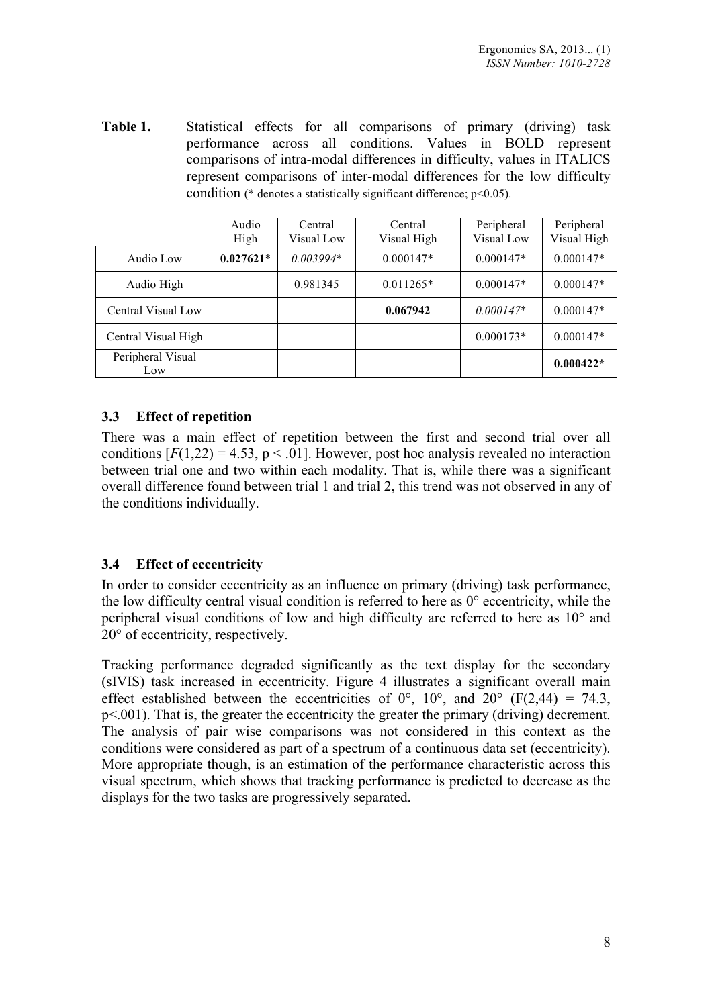**Table 1.** Statistical effects for all comparisons of primary (driving) task performance across all conditions. Values in BOLD represent comparisons of intra-modal differences in difficulty, values in ITALICS represent comparisons of inter-modal differences for the low difficulty condition ( $*$  denotes a statistically significant difference;  $p<0.05$ ).

|                          | Audio<br>High | Central<br>Visual Low | Central<br>Visual High | Peripheral<br>Visual Low | Peripheral<br>Visual High |
|--------------------------|---------------|-----------------------|------------------------|--------------------------|---------------------------|
| Audio Low                | $0.027621*$   | $0.003994*$           | $0.000147*$            | $0.000147*$              | $0.000147*$               |
| Audio High               |               | 0.981345              | $0.011265*$            | $0.000147*$              | $0.000147*$               |
| Central Visual Low       |               |                       | 0.067942               | $0.000147*$              | $0.000147*$               |
| Central Visual High      |               |                       |                        | $0.000173*$              | $0.000147*$               |
| Peripheral Visual<br>Low |               |                       |                        |                          | $0.000422*$               |

#### **3.3 Effect of repetition**

There was a main effect of repetition between the first and second trial over all conditions  $[F(1,22) = 4.53, p \le 0.01]$ . However, post hoc analysis revealed no interaction between trial one and two within each modality. That is, while there was a significant overall difference found between trial 1 and trial 2, this trend was not observed in any of the conditions individually.

#### **3.4 Effect of eccentricity**

In order to consider eccentricity as an influence on primary (driving) task performance, the low difficulty central visual condition is referred to here as 0° eccentricity, while the peripheral visual conditions of low and high difficulty are referred to here as 10° and 20° of eccentricity, respectively.

Tracking performance degraded significantly as the text display for the secondary (sIVIS) task increased in eccentricity. Figure 4 illustrates a significant overall main effect established between the eccentricities of  $0^{\circ}$ ,  $10^{\circ}$ , and  $20^{\circ}$  (F(2,44) = 74.3, p<.001). That is, the greater the eccentricity the greater the primary (driving) decrement. The analysis of pair wise comparisons was not considered in this context as the conditions were considered as part of a spectrum of a continuous data set (eccentricity). More appropriate though, is an estimation of the performance characteristic across this visual spectrum, which shows that tracking performance is predicted to decrease as the displays for the two tasks are progressively separated.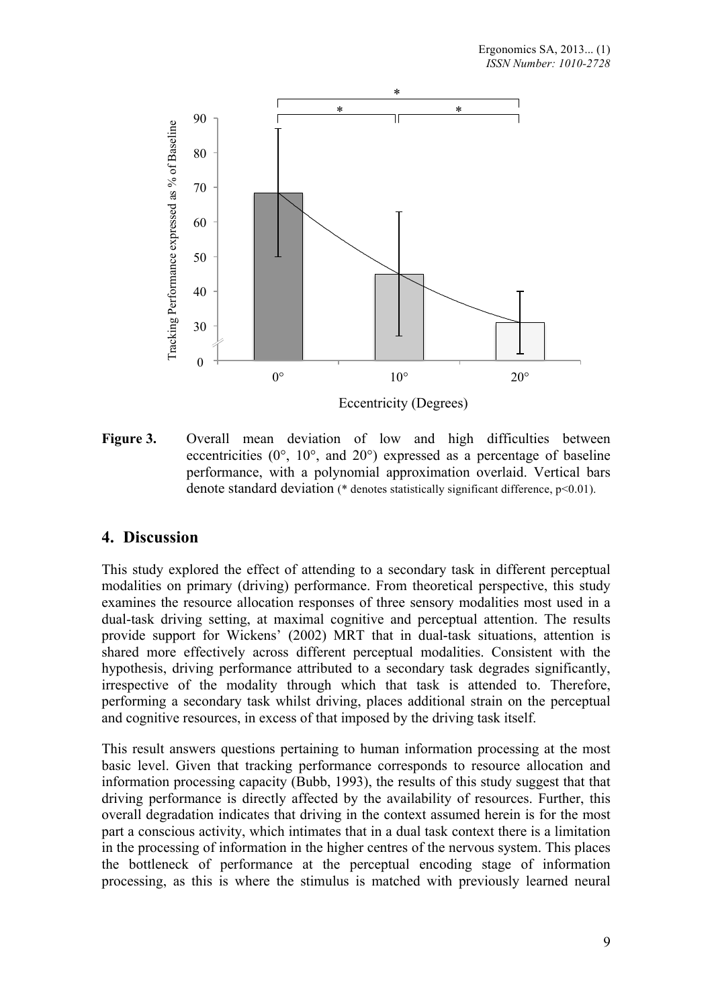

**Figure 3.** Overall mean deviation of low and high difficulties between eccentricities  $(0^{\circ}, 10^{\circ}, \text{ and } 20^{\circ})$  expressed as a percentage of baseline performance, with a polynomial approximation overlaid. Vertical bars denote standard deviation ( $*$  denotes statistically significant difference,  $p<0.01$ ).

### **4. Discussion**

This study explored the effect of attending to a secondary task in different perceptual modalities on primary (driving) performance. From theoretical perspective, this study examines the resource allocation responses of three sensory modalities most used in a dual-task driving setting, at maximal cognitive and perceptual attention. The results provide support for Wickens' (2002) MRT that in dual-task situations, attention is shared more effectively across different perceptual modalities. Consistent with the hypothesis, driving performance attributed to a secondary task degrades significantly, irrespective of the modality through which that task is attended to. Therefore, performing a secondary task whilst driving, places additional strain on the perceptual and cognitive resources, in excess of that imposed by the driving task itself.

This result answers questions pertaining to human information processing at the most basic level. Given that tracking performance corresponds to resource allocation and information processing capacity (Bubb, 1993), the results of this study suggest that that driving performance is directly affected by the availability of resources. Further, this overall degradation indicates that driving in the context assumed herein is for the most part a conscious activity, which intimates that in a dual task context there is a limitation in the processing of information in the higher centres of the nervous system. This places the bottleneck of performance at the perceptual encoding stage of information processing, as this is where the stimulus is matched with previously learned neural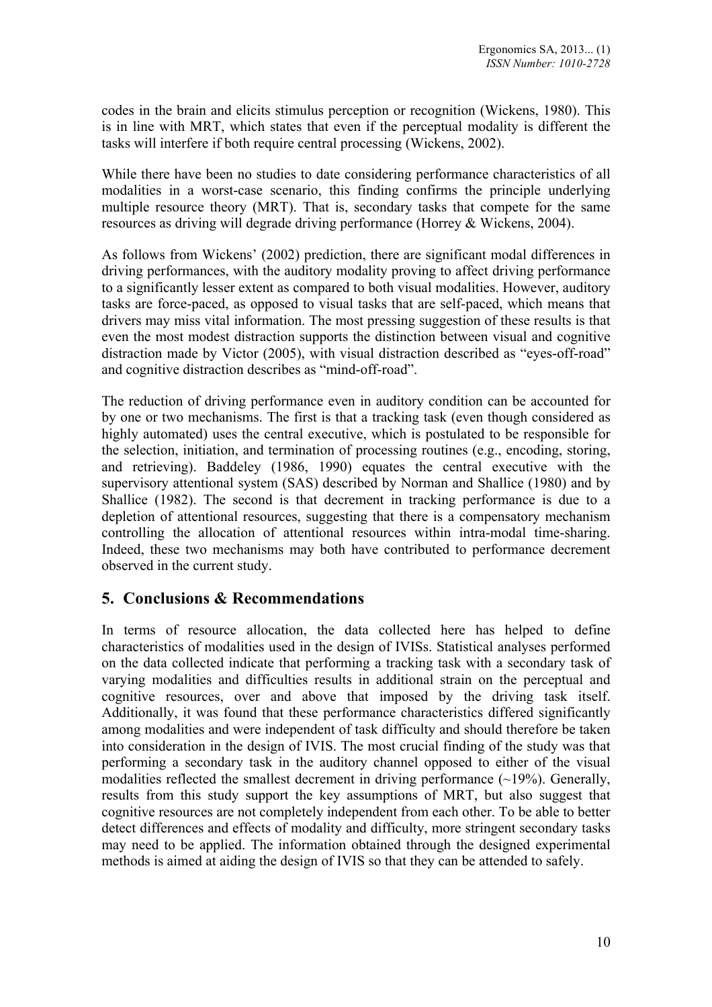codes in the brain and elicits stimulus perception or recognition (Wickens, 1980). This is in line with MRT, which states that even if the perceptual modality is different the tasks will interfere if both require central processing (Wickens, 2002).

While there have been no studies to date considering performance characteristics of all modalities in a worst-case scenario, this finding confirms the principle underlying multiple resource theory (MRT). That is, secondary tasks that compete for the same resources as driving will degrade driving performance (Horrey & Wickens, 2004).

As follows from Wickens' (2002) prediction, there are significant modal differences in driving performances, with the auditory modality proving to affect driving performance to a significantly lesser extent as compared to both visual modalities. However, auditory tasks are force-paced, as opposed to visual tasks that are self-paced, which means that drivers may miss vital information. The most pressing suggestion of these results is that even the most modest distraction supports the distinction between visual and cognitive distraction made by Victor (2005), with visual distraction described as "eyes-off-road" and cognitive distraction describes as "mind-off-road".

The reduction of driving performance even in auditory condition can be accounted for by one or two mechanisms. The first is that a tracking task (even though considered as highly automated) uses the central executive, which is postulated to be responsible for the selection, initiation, and termination of processing routines (e.g., encoding, storing, and retrieving). Baddeley (1986, 1990) equates the central executive with the supervisory attentional system (SAS) described by Norman and Shallice (1980) and by Shallice (1982). The second is that decrement in tracking performance is due to a depletion of attentional resources, suggesting that there is a compensatory mechanism controlling the allocation of attentional resources within intra-modal time-sharing. Indeed, these two mechanisms may both have contributed to performance decrement observed in the current study.

## **5. Conclusions & Recommendations**

In terms of resource allocation, the data collected here has helped to define characteristics of modalities used in the design of IVISs. Statistical analyses performed on the data collected indicate that performing a tracking task with a secondary task of varying modalities and difficulties results in additional strain on the perceptual and cognitive resources, over and above that imposed by the driving task itself. Additionally, it was found that these performance characteristics differed significantly among modalities and were independent of task difficulty and should therefore be taken into consideration in the design of IVIS. The most crucial finding of the study was that performing a secondary task in the auditory channel opposed to either of the visual modalities reflected the smallest decrement in driving performance  $(-19\%)$ . Generally, results from this study support the key assumptions of MRT, but also suggest that cognitive resources are not completely independent from each other. To be able to better detect differences and effects of modality and difficulty, more stringent secondary tasks may need to be applied. The information obtained through the designed experimental methods is aimed at aiding the design of IVIS so that they can be attended to safely.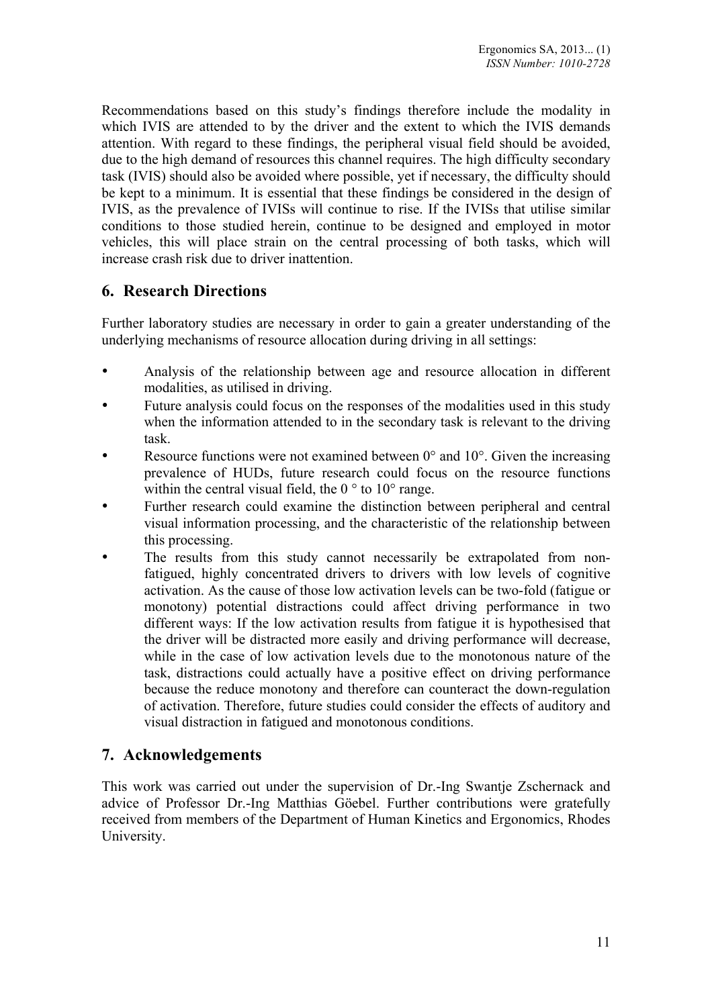Recommendations based on this study's findings therefore include the modality in which IVIS are attended to by the driver and the extent to which the IVIS demands attention. With regard to these findings, the peripheral visual field should be avoided, due to the high demand of resources this channel requires. The high difficulty secondary task (IVIS) should also be avoided where possible, yet if necessary, the difficulty should be kept to a minimum. It is essential that these findings be considered in the design of IVIS, as the prevalence of IVISs will continue to rise. If the IVISs that utilise similar conditions to those studied herein, continue to be designed and employed in motor vehicles, this will place strain on the central processing of both tasks, which will increase crash risk due to driver inattention.

## **6. Research Directions**

Further laboratory studies are necessary in order to gain a greater understanding of the underlying mechanisms of resource allocation during driving in all settings:

- Analysis of the relationship between age and resource allocation in different modalities, as utilised in driving.
- Future analysis could focus on the responses of the modalities used in this study when the information attended to in the secondary task is relevant to the driving task.
- Example 1 Resource functions were not examined between  $0^{\circ}$  and  $10^{\circ}$ . Given the increasing prevalence of HUDs, future research could focus on the resource functions within the central visual field, the  $0^{\circ}$  to  $10^{\circ}$  range.
- Further research could examine the distinction between peripheral and central visual information processing, and the characteristic of the relationship between this processing.
- The results from this study cannot necessarily be extrapolated from nonfatigued, highly concentrated drivers to drivers with low levels of cognitive activation. As the cause of those low activation levels can be two-fold (fatigue or monotony) potential distractions could affect driving performance in two different ways: If the low activation results from fatigue it is hypothesised that the driver will be distracted more easily and driving performance will decrease, while in the case of low activation levels due to the monotonous nature of the task, distractions could actually have a positive effect on driving performance because the reduce monotony and therefore can counteract the down-regulation of activation. Therefore, future studies could consider the effects of auditory and visual distraction in fatigued and monotonous conditions.

## **7. Acknowledgements**

This work was carried out under the supervision of Dr.-Ing Swantje Zschernack and advice of Professor Dr.-Ing Matthias Göebel. Further contributions were gratefully received from members of the Department of Human Kinetics and Ergonomics, Rhodes University.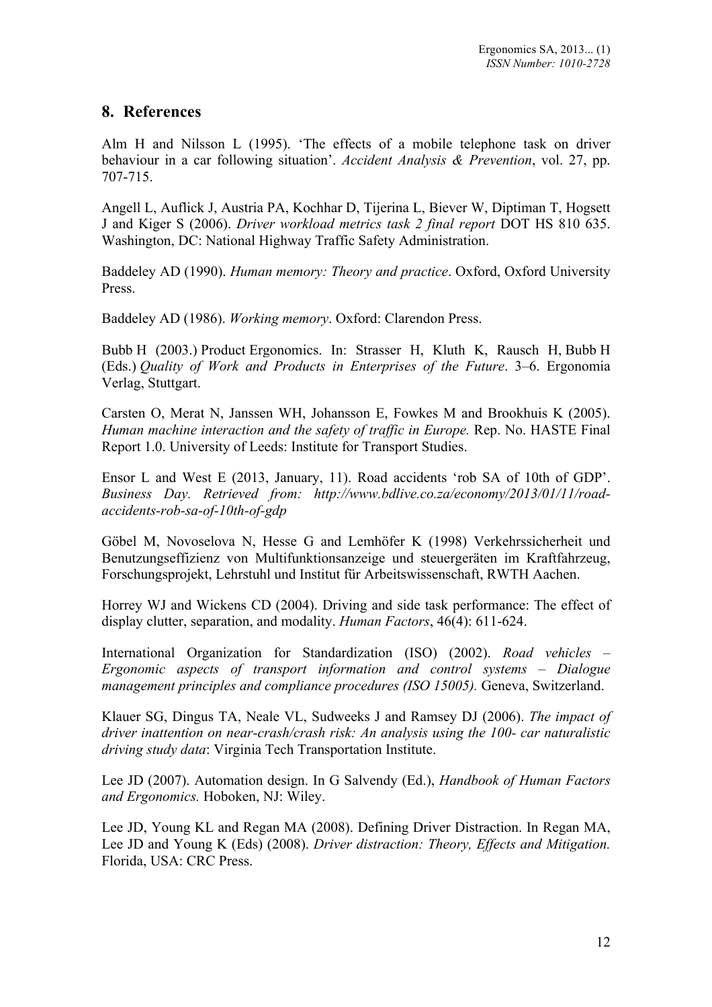### **8. References**

Alm H and Nilsson L (1995). 'The effects of a mobile telephone task on driver behaviour in a car following situation'. *Accident Analysis & Prevention*, vol. 27, pp. 707-715.

Angell L, Auflick J, Austria PA, Kochhar D, Tijerina L, Biever W, Diptiman T, Hogsett J and Kiger S (2006). *Driver workload metrics task 2 final report* DOT HS 810 635. Washington, DC: National Highway Traffic Safety Administration.

Baddeley AD (1990). *Human memory: Theory and practice*. Oxford, Oxford University Press.

Baddeley AD (1986). *Working memory*. Oxford: Clarendon Press.

Bubb H (2003.) Product Ergonomics. In: Strasser H, Kluth K, Rausch H, Bubb H (Eds.) *Quality of Work and Products in Enterprises of the Future*. 3–6. Ergonomia Verlag, Stuttgart.

Carsten O, Merat N, Janssen WH, Johansson E, Fowkes M and Brookhuis K (2005). *Human machine interaction and the safety of traffic in Europe.* Rep. No. HASTE Final Report 1.0. University of Leeds: Institute for Transport Studies.

Ensor L and West E (2013, January, 11). Road accidents 'rob SA of 10th of GDP'. *Business Day. Retrieved from: http://www.bdlive.co.za/economy/2013/01/11/roadaccidents-rob-sa-of-10th-of-gdp*

Göbel M, Novoselova N, Hesse G and Lemhöfer K (1998) Verkehrssicherheit und Benutzungseffizienz von Multifunktionsanzeige und steuergeräten im Kraftfahrzeug, Forschungsprojekt, Lehrstuhl und Institut für Arbeitswissenschaft, RWTH Aachen.

Horrey WJ and Wickens CD (2004). Driving and side task performance: The effect of display clutter, separation, and modality. *Human Factors*, 46(4): 611-624.

International Organization for Standardization (ISO) (2002). *Road vehicles – Ergonomic aspects of transport information and control systems – Dialogue management principles and compliance procedures (ISO 15005).* Geneva, Switzerland.

Klauer SG, Dingus TA, Neale VL, Sudweeks J and Ramsey DJ (2006). *The impact of driver inattention on near-crash/crash risk: An analysis using the 100- car naturalistic driving study data*: Virginia Tech Transportation Institute.

Lee JD (2007). Automation design. In G Salvendy (Ed.), *Handbook of Human Factors and Ergonomics.* Hoboken, NJ: Wiley.

Lee JD, Young KL and Regan MA (2008). Defining Driver Distraction. In Regan MA, Lee JD and Young K (Eds) (2008). *Driver distraction: Theory, Effects and Mitigation.*  Florida, USA: CRC Press.